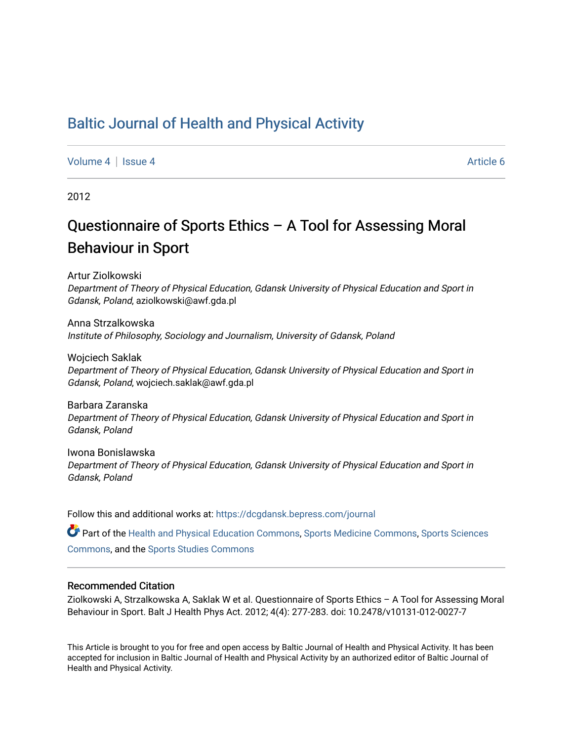# [Baltic Journal of Health and Physical Activity](https://dcgdansk.bepress.com/journal)

[Volume 4](https://dcgdansk.bepress.com/journal/vol4) | [Issue 4](https://dcgdansk.bepress.com/journal/vol4/iss4) Article 6

2012

# Questionnaire of Sports Ethics – A Tool for Assessing Moral Behaviour in Sport

Artur Ziolkowski Department of Theory of Physical Education, Gdansk University of Physical Education and Sport in Gdansk, Poland, aziolkowski@awf.gda.pl

Anna Strzalkowska Institute of Philosophy, Sociology and Journalism, University of Gdansk, Poland

Wojciech Saklak Department of Theory of Physical Education, Gdansk University of Physical Education and Sport in Gdansk, Poland, wojciech.saklak@awf.gda.pl

Barbara Zaranska Department of Theory of Physical Education, Gdansk University of Physical Education and Sport in Gdansk, Poland

Iwona Bonislawska Department of Theory of Physical Education, Gdansk University of Physical Education and Sport in Gdansk, Poland

Follow this and additional works at: [https://dcgdansk.bepress.com/journal](https://dcgdansk.bepress.com/journal?utm_source=dcgdansk.bepress.com%2Fjournal%2Fvol4%2Fiss4%2F6&utm_medium=PDF&utm_campaign=PDFCoverPages)

Part of the [Health and Physical Education Commons](http://network.bepress.com/hgg/discipline/1327?utm_source=dcgdansk.bepress.com%2Fjournal%2Fvol4%2Fiss4%2F6&utm_medium=PDF&utm_campaign=PDFCoverPages), [Sports Medicine Commons,](http://network.bepress.com/hgg/discipline/1331?utm_source=dcgdansk.bepress.com%2Fjournal%2Fvol4%2Fiss4%2F6&utm_medium=PDF&utm_campaign=PDFCoverPages) [Sports Sciences](http://network.bepress.com/hgg/discipline/759?utm_source=dcgdansk.bepress.com%2Fjournal%2Fvol4%2Fiss4%2F6&utm_medium=PDF&utm_campaign=PDFCoverPages) [Commons](http://network.bepress.com/hgg/discipline/759?utm_source=dcgdansk.bepress.com%2Fjournal%2Fvol4%2Fiss4%2F6&utm_medium=PDF&utm_campaign=PDFCoverPages), and the [Sports Studies Commons](http://network.bepress.com/hgg/discipline/1198?utm_source=dcgdansk.bepress.com%2Fjournal%2Fvol4%2Fiss4%2F6&utm_medium=PDF&utm_campaign=PDFCoverPages) 

#### Recommended Citation

Ziolkowski A, Strzalkowska A, Saklak W et al. Questionnaire of Sports Ethics – A Tool for Assessing Moral Behaviour in Sport. Balt J Health Phys Act. 2012; 4(4): 277-283. doi: 10.2478/v10131-012-0027-7

This Article is brought to you for free and open access by Baltic Journal of Health and Physical Activity. It has been accepted for inclusion in Baltic Journal of Health and Physical Activity by an authorized editor of Baltic Journal of Health and Physical Activity.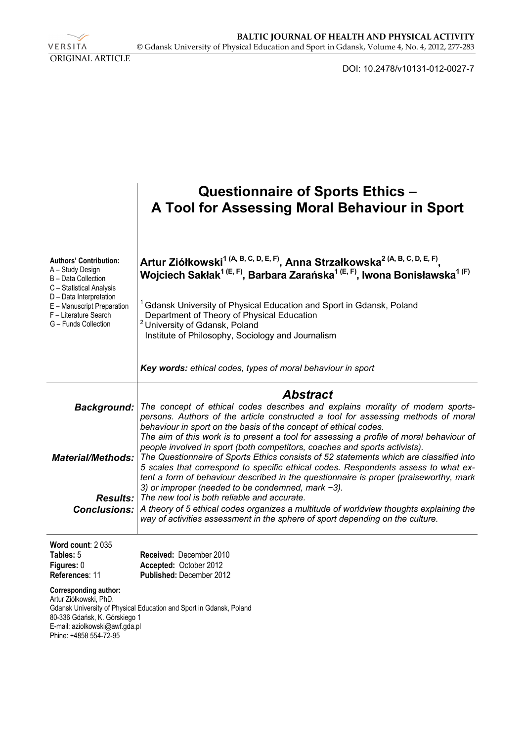VFRSIT/ ORIGINAL ARTICLE

DOI: 10.2478/v10131-012-0027-7

#### **Questionnaire of Sports Ethics – A Tool for Assessing Moral Behaviour in Sport Authors' Contribution:**  A – Study Design B – Data Collection C – Statistical Analysis D – Data Interpretation E – Manuscript Preparation F – Literature Search G – Funds Collection **Artur Ziółkowski1 (A, B, C, D, E, F), Anna Strzałkowska2 (A, B, C, D, E, F), Wojciech Sakłak1 (E, F), Barbara Zarańska1 (E, F), Iwona Bonisławska1 (F)** <sup>1</sup> Gdansk University of Physical Education and Sport in Gdansk, Poland Department of Theory of Physical Education <sup>2</sup> University of Gdansk, Poland Institute of Philosophy, Sociology and Journalism *Key words: ethical codes, types of moral behaviour in sport Abstract*  **Background:** The concept of ethical codes describes and explains morality of modern sports*persons. Authors of the article constructed a tool for assessing methods of moral behaviour in sport on the basis of the concept of ethical codes. The aim of this work is to present a tool for assessing a profile of moral behaviour of people involved in sport (both competitors, coaches and sports activists). Material/Methods: The Questionnaire of Sports Ethics consists of 52 statements which are classified into 5 scales that correspond to specific ethical codes. Respondents assess to what extent a form of behaviour described in the questionnaire is proper (praiseworthy, mark 3) or improper (needed to be condemned, mark −3). Results: The new tool is both reliable and accurate. Conclusions: A theory of 5 ethical codes organizes a multitude of worldview thoughts explaining the way of activities assessment in the sphere of sport depending on the culture.*  **Word count**: 2 035 **Tables:** 5 **Figures:** 0 **References**: 11 **Received:** December 2010 **Accepted:** October 2012 **Published:** December 2012 **Corresponding author:**  Artur Ziółkowski, PhD. Gdansk University of Physical Education and Sport in Gdansk, Poland 80-336 Gdańsk, K. Górskiego 1 E-mail: aziolkowski@awf.gda.pl Phine: +4858 554-72-95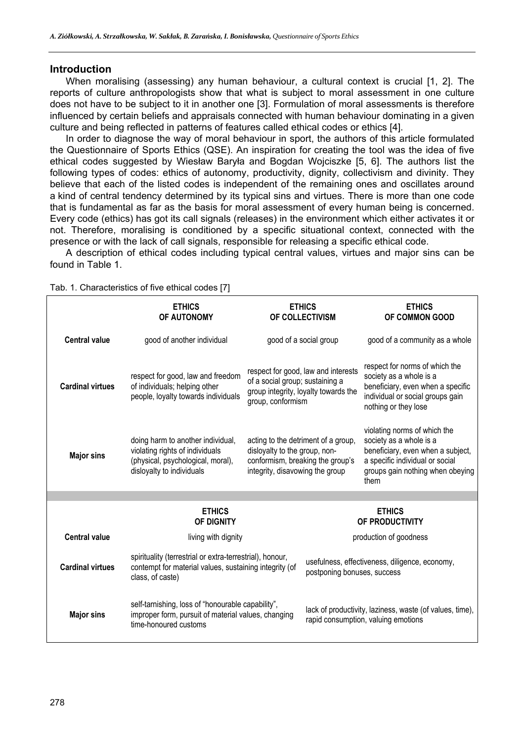#### **Introduction**

When moralising (assessing) any human behaviour, a cultural context is crucial [1, 2]. The reports of culture anthropologists show that what is subject to moral assessment in one culture does not have to be subject to it in another one [3]. Formulation of moral assessments is therefore influenced by certain beliefs and appraisals connected with human behaviour dominating in a given culture and being reflected in patterns of features called ethical codes or ethics [4].

In order to diagnose the way of moral behaviour in sport, the authors of this article formulated the Questionnaire of Sports Ethics (QSE). An inspiration for creating the tool was the idea of five ethical codes suggested by Wiesław Baryła and Bogdan Wojciszke [5, 6]. The authors list the following types of codes: ethics of autonomy, productivity, dignity, collectivism and divinity. They believe that each of the listed codes is independent of the remaining ones and oscillates around a kind of central tendency determined by its typical sins and virtues. There is more than one code that is fundamental as far as the basis for moral assessment of every human being is concerned. Every code (ethics) has got its call signals (releases) in the environment which either activates it or not. Therefore, moralising is conditioned by a specific situational context, connected with the presence or with the lack of call signals, responsible for releasing a specific ethical code.

A description of ethical codes including typical central values, virtues and major sins can be found in Table 1.

|                         | <b>ETHICS</b><br>OF AUTONOMY                                                                                                           | <b>ETHICS</b><br>OF COLLECTIVISM                                                                                                            |                                                                                                 | <b>ETHICS</b><br>OF COMMON GOOD                                                                                                                                             |  |  |
|-------------------------|----------------------------------------------------------------------------------------------------------------------------------------|---------------------------------------------------------------------------------------------------------------------------------------------|-------------------------------------------------------------------------------------------------|-----------------------------------------------------------------------------------------------------------------------------------------------------------------------------|--|--|
| <b>Central value</b>    | good of another individual                                                                                                             |                                                                                                                                             | good of a social group                                                                          | good of a community as a whole                                                                                                                                              |  |  |
| <b>Cardinal virtues</b> | respect for good, law and freedom<br>of individuals; helping other<br>people, loyalty towards individuals                              | respect for good, law and interests<br>of a social group; sustaining a<br>group integrity, loyalty towards the<br>group, conformism         |                                                                                                 | respect for norms of which the<br>society as a whole is a<br>beneficiary, even when a specific<br>individual or social groups gain<br>nothing or they lose                  |  |  |
| <b>Major sins</b>       | doing harm to another individual,<br>violating rights of individuals<br>(physical, psychological, moral),<br>disloyalty to individuals | acting to the detriment of a group,<br>disloyalty to the group, non-<br>conformism, breaking the group's<br>integrity, disavowing the group |                                                                                                 | violating norms of which the<br>society as a whole is a<br>beneficiary, even when a subject,<br>a specific individual or social<br>groups gain nothing when obeying<br>them |  |  |
|                         |                                                                                                                                        |                                                                                                                                             |                                                                                                 |                                                                                                                                                                             |  |  |
|                         | <b>ETHICS</b><br>OF DIGNITY                                                                                                            |                                                                                                                                             |                                                                                                 | <b>ETHICS</b><br>OF PRODUCTIVITY                                                                                                                                            |  |  |
| <b>Central value</b>    | living with dignity                                                                                                                    |                                                                                                                                             | production of goodness                                                                          |                                                                                                                                                                             |  |  |
| <b>Cardinal virtues</b> | spirituality (terrestrial or extra-terrestrial), honour,<br>contempt for material values, sustaining integrity (of<br>class, of caste) |                                                                                                                                             | usefulness, effectiveness, diligence, economy,<br>postponing bonuses, success                   |                                                                                                                                                                             |  |  |
| <b>Major sins</b>       | self-tarnishing, loss of "honourable capability",<br>improper form, pursuit of material values, changing<br>time-honoured customs      |                                                                                                                                             | lack of productivity, laziness, waste (of values, time),<br>rapid consumption, valuing emotions |                                                                                                                                                                             |  |  |

Tab. 1. Characteristics of five ethical codes [7]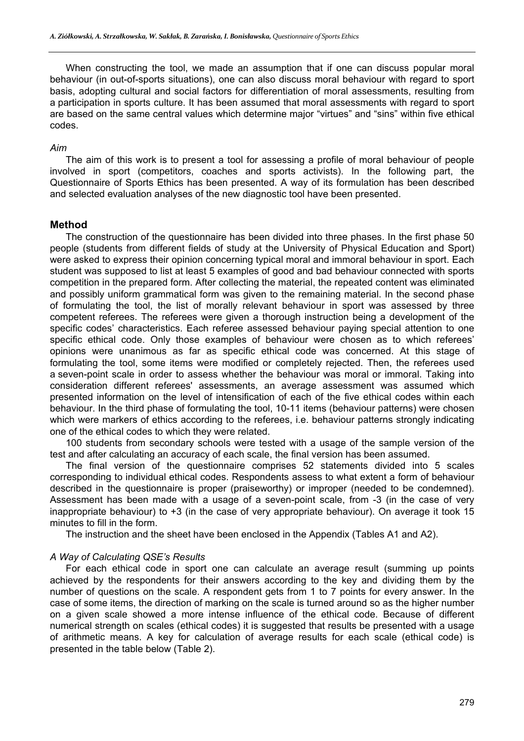When constructing the tool, we made an assumption that if one can discuss popular moral behaviour (in out-of-sports situations), one can also discuss moral behaviour with regard to sport basis, adopting cultural and social factors for differentiation of moral assessments, resulting from a participation in sports culture. It has been assumed that moral assessments with regard to sport are based on the same central values which determine major "virtues" and "sins" within five ethical codes.

#### *Aim*

The aim of this work is to present a tool for assessing a profile of moral behaviour of people involved in sport (competitors, coaches and sports activists). In the following part, the Questionnaire of Sports Ethics has been presented. A way of its formulation has been described and selected evaluation analyses of the new diagnostic tool have been presented.

## **Method**

The construction of the questionnaire has been divided into three phases. In the first phase 50 people (students from different fields of study at the University of Physical Education and Sport) were asked to express their opinion concerning typical moral and immoral behaviour in sport. Each student was supposed to list at least 5 examples of good and bad behaviour connected with sports competition in the prepared form. After collecting the material, the repeated content was eliminated and possibly uniform grammatical form was given to the remaining material. In the second phase of formulating the tool, the list of morally relevant behaviour in sport was assessed by three competent referees. The referees were given a thorough instruction being a development of the specific codes' characteristics. Each referee assessed behaviour paying special attention to one specific ethical code. Only those examples of behaviour were chosen as to which referees' opinions were unanimous as far as specific ethical code was concerned. At this stage of formulating the tool, some items were modified or completely rejected. Then, the referees used a seven-point scale in order to assess whether the behaviour was moral or immoral. Taking into consideration different referees' assessments, an average assessment was assumed which presented information on the level of intensification of each of the five ethical codes within each behaviour. In the third phase of formulating the tool, 10-11 items (behaviour patterns) were chosen which were markers of ethics according to the referees, i.e. behaviour patterns strongly indicating one of the ethical codes to which they were related.

100 students from secondary schools were tested with a usage of the sample version of the test and after calculating an accuracy of each scale, the final version has been assumed.

The final version of the questionnaire comprises 52 statements divided into 5 scales corresponding to individual ethical codes. Respondents assess to what extent a form of behaviour described in the questionnaire is proper (praiseworthy) or improper (needed to be condemned). Assessment has been made with a usage of a seven-point scale, from -3 (in the case of very inappropriate behaviour) to +3 (in the case of very appropriate behaviour). On average it took 15 minutes to fill in the form.

The instruction and the sheet have been enclosed in the Appendix (Tables A1 and A2).

#### *A Way of Calculating QSE's Results*

For each ethical code in sport one can calculate an average result (summing up points achieved by the respondents for their answers according to the key and dividing them by the number of questions on the scale. A respondent gets from 1 to 7 points for every answer. In the case of some items, the direction of marking on the scale is turned around so as the higher number on a given scale showed a more intense influence of the ethical code. Because of different numerical strength on scales (ethical codes) it is suggested that results be presented with a usage of arithmetic means. A key for calculation of average results for each scale (ethical code) is presented in the table below (Table 2).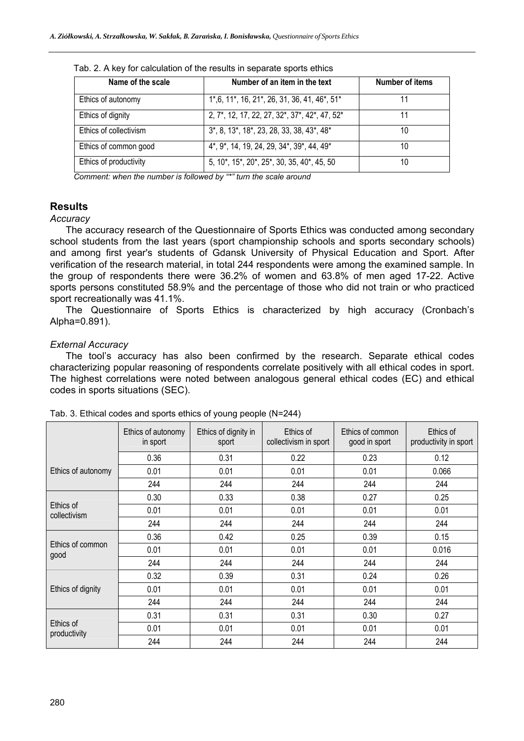| Name of the scale      | Number of an item in the text                           | <b>Number of items</b> |  |
|------------------------|---------------------------------------------------------|------------------------|--|
| Ethics of autonomy     | $1*,6$ , $11*, 16$ , $21*, 26$ , $31, 36, 41, 46*, 51*$ |                        |  |
| Ethics of dignity      | 2, 7*, 12, 17, 22, 27, 32*, 37*, 42*, 47, 52*           | 11                     |  |
| Ethics of collectivism | 3*, 8, 13*, 18*, 23, 28, 33, 38, 43*, 48*               | 10                     |  |
| Ethics of common good  | 4*, 9*, 14, 19, 24, 29, 34*, 39*, 44, 49*               | 10                     |  |
| Ethics of productivity | 5, 10*, 15*, 20*, 25*, 30, 35, 40*, 45, 50              | 10                     |  |

|  |  |  |  |  | Tab. 2. A key for calculation of the results in separate sports ethics |  |
|--|--|--|--|--|------------------------------------------------------------------------|--|
|  |  |  |  |  |                                                                        |  |

*Comment: when the number is followed by "\*" turn the scale around* 

# **Results**

#### *Accuracy*

The accuracy research of the Questionnaire of Sports Ethics was conducted among secondary school students from the last years (sport championship schools and sports secondary schools) and among first year's students of Gdansk University of Physical Education and Sport. After verification of the research material, in total 244 respondents were among the examined sample. In the group of respondents there were 36.2% of women and 63.8% of men aged 17-22. Active sports persons constituted 58.9% and the percentage of those who did not train or who practiced sport recreationally was 41.1%.

The Questionnaire of Sports Ethics is characterized by high accuracy (Cronbach's Alpha=0.891).

#### *External Accuracy*

The tool's accuracy has also been confirmed by the research. Separate ethical codes characterizing popular reasoning of respondents correlate positively with all ethical codes in sport. The highest correlations were noted between analogous general ethical codes (EC) and ethical codes in sports situations (SEC).

|                           | Ethics of autonomy<br>in sport | Ethics of dignity in<br>sport | Ethics of<br>collectivism in sport | Ethics of common<br>good in sport | Ethics of<br>productivity in sport |
|---------------------------|--------------------------------|-------------------------------|------------------------------------|-----------------------------------|------------------------------------|
|                           | 0.36                           | 0.31                          | 0.22                               | 0.23                              | 0.12                               |
| Ethics of autonomy        | 0.01                           | 0.01                          | 0.01                               | 0.01                              | 0.066                              |
|                           | 244                            | 244                           | 244                                | 244                               | 244                                |
|                           | 0.30                           | 0.33                          | 0.38                               | 0.27                              | 0.25                               |
| Ethics of<br>collectivism | 0.01                           | 0.01                          | 0.01                               | 0.01                              | 0.01                               |
|                           | 244                            | 244                           | 244                                | 244                               | 244                                |
| Ethics of common<br>good  | 0.36                           | 0.42                          | 0.25                               | 0.39                              | 0.15                               |
|                           | 0.01                           | 0.01                          | 0.01                               | 0.01                              | 0.016                              |
|                           | 244                            | 244                           | 244                                | 244                               | 244                                |
|                           | 0.32                           | 0.39                          | 0.31                               | 0.24                              | 0.26                               |
| Ethics of dignity         | 0.01                           | 0.01                          | 0.01                               | 0.01                              | 0.01                               |
|                           | 244                            | 244                           | 244                                | 244                               | 244                                |
| Ethics of<br>productivity | 0.31                           | 0.31                          | 0.31                               | 0.30                              | 0.27                               |
|                           | 0.01                           | 0.01                          | 0.01                               | 0.01                              | 0.01                               |
|                           | 244                            | 244                           | 244                                | 244                               | 244                                |

Tab. 3. Ethical codes and sports ethics of young people (N=244)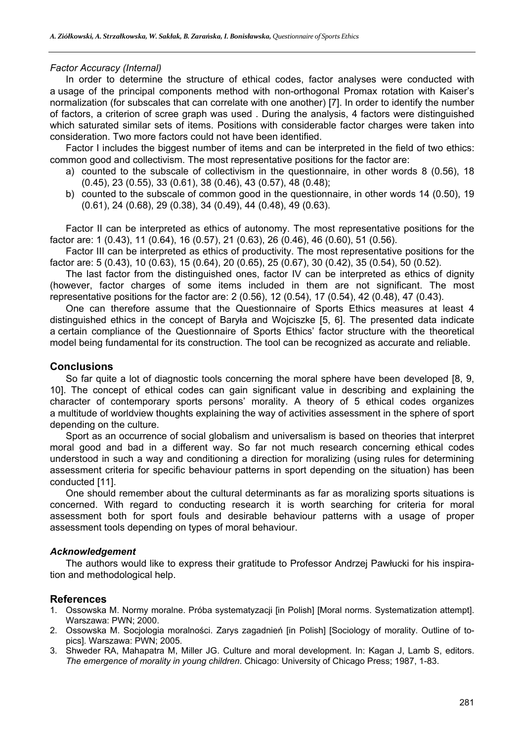#### *Factor Accuracy (Internal)*

In order to determine the structure of ethical codes, factor analyses were conducted with a usage of the principal components method with non-orthogonal Promax rotation with Kaiser's normalization (for subscales that can correlate with one another) [7]. In order to identify the number of factors, a criterion of scree graph was used . During the analysis, 4 factors were distinguished which saturated similar sets of items. Positions with considerable factor charges were taken into consideration. Two more factors could not have been identified.

Factor I includes the biggest number of items and can be interpreted in the field of two ethics: common good and collectivism. The most representative positions for the factor are:

- a) counted to the subscale of collectivism in the questionnaire, in other words 8 (0.56), 18 (0.45), 23 (0.55), 33 (0.61), 38 (0.46), 43 (0.57), 48 (0.48);
- b) counted to the subscale of common good in the questionnaire, in other words 14 (0.50), 19 (0.61), 24 (0.68), 29 (0.38), 34 (0.49), 44 (0.48), 49 (0.63).

Factor II can be interpreted as ethics of autonomy. The most representative positions for the factor are: 1 (0.43), 11 (0.64), 16 (0.57), 21 (0.63), 26 (0.46), 46 (0.60), 51 (0.56).

Factor III can be interpreted as ethics of productivity. The most representative positions for the factor are: 5 (0.43), 10 (0.63), 15 (0.64), 20 (0.65), 25 (0.67), 30 (0.42), 35 (0.54), 50 (0.52).

The last factor from the distinguished ones, factor IV can be interpreted as ethics of dignity (however, factor charges of some items included in them are not significant. The most representative positions for the factor are: 2 (0.56), 12 (0.54), 17 (0.54), 42 (0.48), 47 (0.43).

One can therefore assume that the Questionnaire of Sports Ethics measures at least 4 distinguished ethics in the concept of Baryła and Wojciszke [5, 6]. The presented data indicate a certain compliance of the Questionnaire of Sports Ethics' factor structure with the theoretical model being fundamental for its construction. The tool can be recognized as accurate and reliable.

# **Conclusions**

So far quite a lot of diagnostic tools concerning the moral sphere have been developed [8, 9, 10]. The concept of ethical codes can gain significant value in describing and explaining the character of contemporary sports persons' morality. A theory of 5 ethical codes organizes a multitude of worldview thoughts explaining the way of activities assessment in the sphere of sport depending on the culture.

Sport as an occurrence of social globalism and universalism is based on theories that interpret moral good and bad in a different way. So far not much research concerning ethical codes understood in such a way and conditioning a direction for moralizing (using rules for determining assessment criteria for specific behaviour patterns in sport depending on the situation) has been conducted [11].

One should remember about the cultural determinants as far as moralizing sports situations is concerned. With regard to conducting research it is worth searching for criteria for moral assessment both for sport fouls and desirable behaviour patterns with a usage of proper assessment tools depending on types of moral behaviour.

#### *Acknowledgement*

The authors would like to express their gratitude to Professor Andrzej Pawłucki for his inspiration and methodological help.

#### **References**

- 1. Ossowska M. Normy moralne. Próba systematyzacji [in Polish] [Moral norms. Systematization attempt]. Warszawa: PWN; 2000.
- 2. Ossowska M. Socjologia moralności. Zarys zagadnień [in Polish] [Sociology of morality. Outline of topics]. Warszawa: PWN; 2005.
- 3. Shweder RA, Mahapatra M, Miller JG. Culture and moral development. In: Kagan J, Lamb S, editors. *The emergence of morality in young children*. Chicago: University of Chicago Press; 1987, 1-83.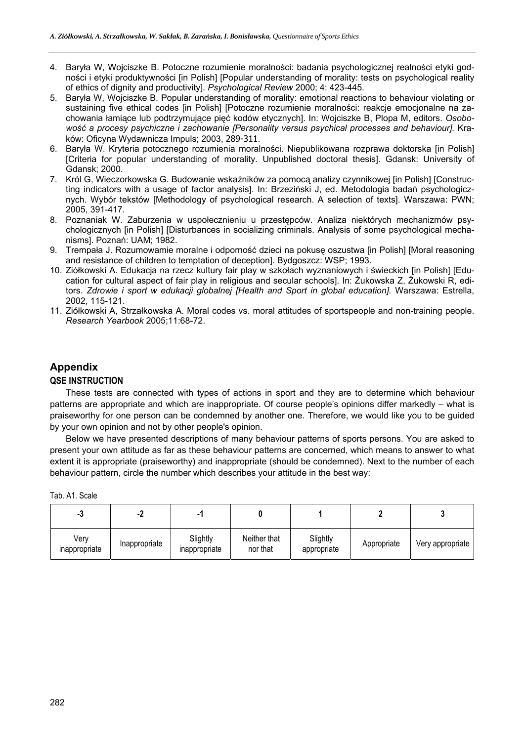- 4. Baryła W, Wojciszke B. Potoczne rozumienie moralności: badania psychologicznej realności etyki godności i etyki produktywności [in Polish] [Popular understanding of morality: tests on psychological reality of ethics of dignity and productivity]. *Psychological Review* 2000; 4: 423-445.
- 5. Baryła W, Wojciszke B. Popular understanding of morality: emotional reactions to behaviour violating or sustaining five ethical codes [in Polish] [Potoczne rozumienie moralności: reakcje emocjonalne na zachowania łamiące lub podtrzymujące pięć kodów etycznych]. In: Wojciszke B, Plopa M, editors. *Osobowość a procesy psychiczne i zachowanie [Personality versus psychical processes and behaviour].* Kraków: Oficyna Wydawnicza Impuls; 2003, 289-311.
- 6. Baryła W. Kryteria potocznego rozumienia moralności. Niepublikowana rozprawa doktorska [in Polish] [Criteria for popular understanding of morality. Unpublished doctoral thesis]. Gdansk: University of Gdansk; 2000.
- 7. Król G, Wieczorkowska G. Budowanie wskaźników za pomocą analizy czynnikowej [in Polish] [Constructing indicators with a usage of factor analysis]. In: Brzeziński J, ed. Metodologia badań psychologicznych. Wybór tekstów [Methodology of psychological research. A selection of texts]. Warszawa: PWN; 2005, 391-417.
- 8. Poznaniak W. Zaburzenia w uspołecznieniu u przestępców. Analiza niektórych mechanizmów psychologicznych [in Polish] [Disturbances in socializing criminals. Analysis of some psychological mechanisms]. Poznań: UAM; 1982.
- 9. Trempała J. Rozumowamie moralne i odporność dzieci na pokusę oszustwa [in Polish] [Moral reasoning and resistance of children to temptation of deception]. Bydgoszcz: WSP; 1993.
- 10. Ziółkowski A. Edukacja na rzecz kultury fair play w szkołach wyznaniowych i świeckich [in Polish] [Education for cultural aspect of fair play in religious and secular schools]. In: Żukowska Z, Żukowski R, editors. *Zdrowie i sport w edukacji globalnej [Health and Sport in global education].* Warszawa: Estrella, 2002, 115-121.
- 11. Ziółkowski A, Strzałkowska A. Moral codes vs. moral attitudes of sportspeople and non-training people. *Research Yearbook* 2005;11:68-72.

# **Appendix**

#### **QSE INSTRUCTION**

These tests are connected with types of actions in sport and they are to determine which behaviour patterns are appropriate and which are inappropriate. Of course people's opinions differ markedly – what is praiseworthy for one person can be condemned by another one. Therefore, we would like you to be guided by your own opinion and not by other people's opinion.

Below we have presented descriptions of many behaviour patterns of sports persons. You are asked to present your own attitude as far as these behaviour patterns are concerned, which means to answer to what extent it is appropriate (praiseworthy) and inappropriate (should be condemned). Next to the number of each behaviour pattern, circle the number which describes your attitude in the best way:

Tab. A1. Scale

| د-                    | -2            |                           |                          |                         |             |                  |
|-----------------------|---------------|---------------------------|--------------------------|-------------------------|-------------|------------------|
| Very<br>inappropriate | Inappropriate | Slightly<br>inappropriate | Neither that<br>nor that | Slightly<br>appropriate | Appropriate | Very appropriate |